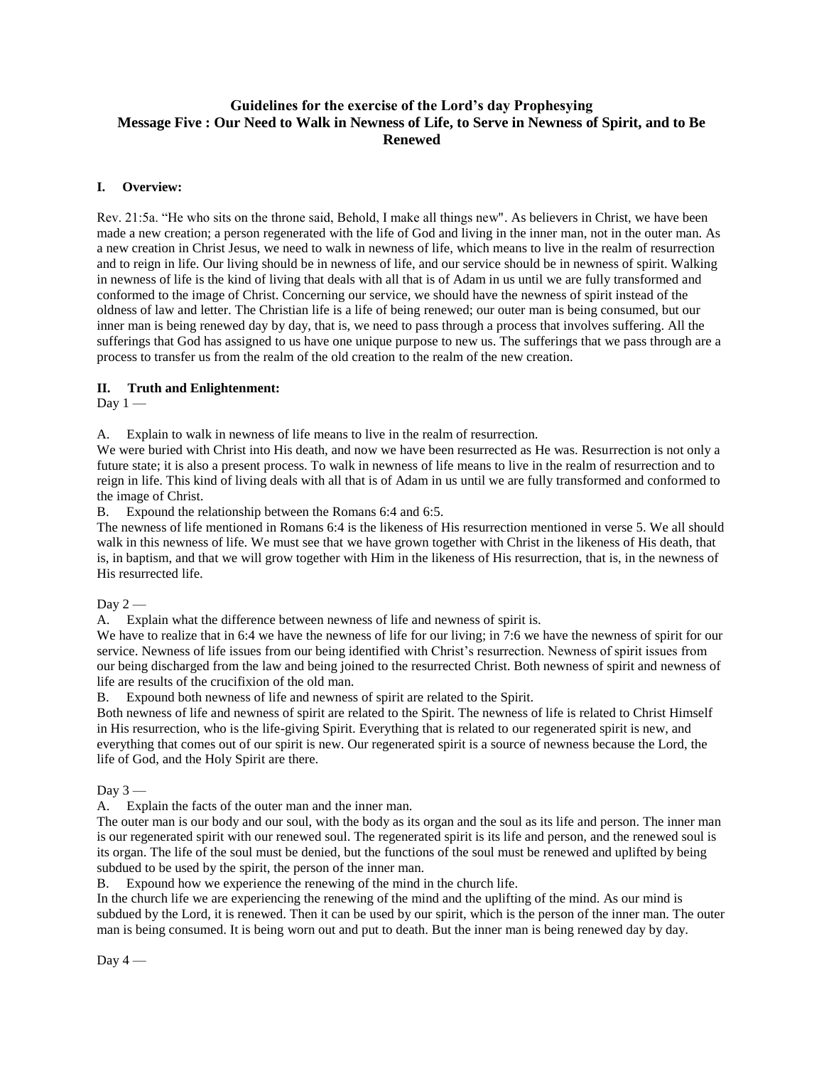# **Guidelines for the exercise of the Lord's day Prophesying Message Five : Our Need to Walk in Newness of Life, to Serve in Newness of Spirit, and to Be Renewed**

## **I. Overview:**

Rev. 21:5a. "He who sits on the throne said, Behold, I make all things new". As believers in Christ, we have been made a new creation; a person regenerated with the life of God and living in the inner man, not in the outer man. As a new creation in Christ Jesus, we need to walk in newness of life, which means to live in the realm of resurrection and to reign in life. Our living should be in newness of life, and our service should be in newness of spirit. Walking in newness of life is the kind of living that deals with all that is of Adam in us until we are fully transformed and conformed to the image of Christ. Concerning our service, we should have the newness of spirit instead of the oldness of law and letter. The Christian life is a life of being renewed; our outer man is being consumed, but our inner man is being renewed day by day, that is, we need to pass through a process that involves suffering. All the sufferings that God has assigned to us have one unique purpose to new us. The sufferings that we pass through are a process to transfer us from the realm of the old creation to the realm of the new creation.

### **II. Truth and Enlightenment:**

Day  $1 -$ 

A. Explain to walk in newness of life means to live in the realm of resurrection.

We were buried with Christ into His death, and now we have been resurrected as He was. Resurrection is not only a future state; it is also a present process. To walk in newness of life means to live in the realm of resurrection and to reign in life. This kind of living deals with all that is of Adam in us until we are fully transformed and conformed to the image of Christ.

B. Expound the relationship between the Romans 6:4 and 6:5.

The newness of life mentioned in Romans 6:4 is the likeness of His resurrection mentioned in verse 5. We all should walk in this newness of life. We must see that we have grown together with Christ in the likeness of His death, that is, in baptism, and that we will grow together with Him in the likeness of His resurrection, that is, in the newness of His resurrected life.

Day  $2-$ 

A. Explain what the difference between newness of life and newness of spirit is.

We have to realize that in 6:4 we have the newness of life for our living; in 7:6 we have the newness of spirit for our service. Newness of life issues from our being identified with Christ's resurrection. Newness of spirit issues from our being discharged from the law and being joined to the resurrected Christ. Both newness of spirit and newness of life are results of the crucifixion of the old man.

B. Expound both newness of life and newness of spirit are related to the Spirit.

Both newness of life and newness of spirit are related to the Spirit. The newness of life is related to Christ Himself in His resurrection, who is the life-giving Spirit. Everything that is related to our regenerated spirit is new, and everything that comes out of our spirit is new. Our regenerated spirit is a source of newness because the Lord, the life of God, and the Holy Spirit are there.

Day  $3-$ 

A. Explain the facts of the outer man and the inner man.

The outer man is our body and our soul, with the body as its organ and the soul as its life and person. The inner man is our regenerated spirit with our renewed soul. The regenerated spirit is its life and person, and the renewed soul is its organ. The life of the soul must be denied, but the functions of the soul must be renewed and uplifted by being subdued to be used by the spirit, the person of the inner man.

B. Expound how we experience the renewing of the mind in the church life.

In the church life we are experiencing the renewing of the mind and the uplifting of the mind. As our mind is subdued by the Lord, it is renewed. Then it can be used by our spirit, which is the person of the inner man. The outer man is being consumed. It is being worn out and put to death. But the inner man is being renewed day by day.

Day  $4-$